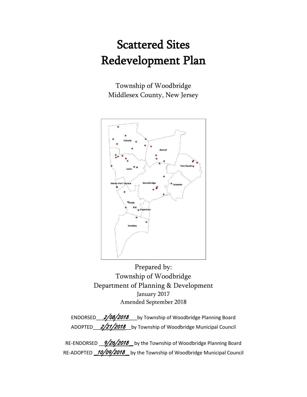# Scattered Sites Redevelopment Plan

Township of Woodbridge Middlesex County, New Jersey



Prepared by: Township of Woodbridge Department of Planning & Development January 2017 Amended September 2018

ENDORSED  $2/08/2018$  by Township of Woodbridge Planning Board ADOPTED\_2/21/2018\_by Township of Woodbridge Municipal Council

RE-ENDORSED  $\frac{9/26/2018}{ }$  by the Township of Woodbridge Planning Board RE-ADOPTED 10/09/2018 by the Township of Woodbridge Municipal Council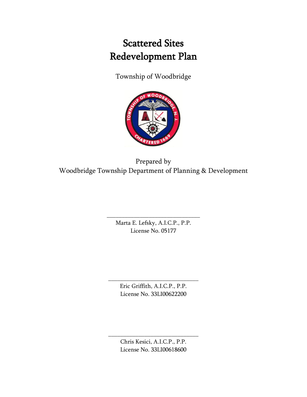## Scattered Sites Redevelopment Plan

Township of Woodbridge



Prepared by Woodbridge Township Department of Planning & Development

> Marta E. Lefsky, A.I.C.P., P.P. License No. 05177

\_\_\_\_\_\_\_\_\_\_\_\_\_\_\_\_\_\_\_\_\_\_\_\_\_\_\_\_\_\_\_

Eric Griffith, A.I.C.P., P.P. License No. 33LI00622200

\_\_\_\_\_\_\_\_\_\_\_\_\_\_\_\_\_\_\_\_\_\_\_\_\_\_\_\_\_\_

Chris Kesici, A.I.C.P., P.P. License No. 33LI00618600

\_\_\_\_\_\_\_\_\_\_\_\_\_\_\_\_\_\_\_\_\_\_\_\_\_\_\_\_\_\_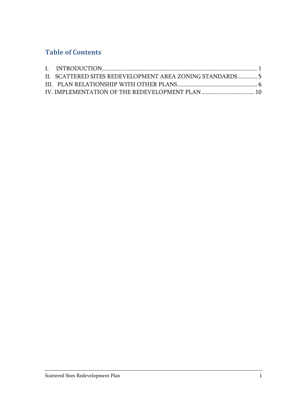### **Table of Contents**

| II. SCATTERED SITES REDEVELOPMENT AREA ZONING STANDARDS 5 |  |
|-----------------------------------------------------------|--|
|                                                           |  |
|                                                           |  |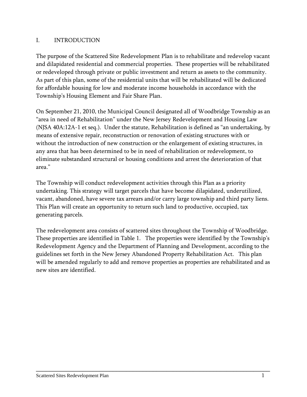#### <span id="page-3-0"></span>I. INTRODUCTION

The purpose of the Scattered Site Redevelopment Plan is to rehabilitate and redevelop vacant and dilapidated residential and commercial properties. These properties will be rehabilitated or redeveloped through private or public investment and return as assets to the community. As part of this plan, some of the residential units that will be rehabilitated will be dedicated for affordable housing for low and moderate income households in accordance with the Township's Housing Element and Fair Share Plan.

On September 21, 2010, the Municipal Council designated all of Woodbridge Township as an "area in need of Rehabilitation" under the New Jersey Redevelopment and Housing Law (NJSA 40A:12A-1 et seq.). Under the statute, Rehabilitation is defined as "an undertaking, by means of extensive repair, reconstruction or renovation of existing structures with or without the introduction of new construction or the enlargement of existing structures, in any area that has been determined to be in need of rehabilitation or redevelopment, to eliminate substandard structural or housing conditions and arrest the deterioration of that area."

The Township will conduct redevelopment activities through this Plan as a priority undertaking. This strategy will target parcels that have become dilapidated, underutilized, vacant, abandoned, have severe tax arrears and/or carry large township and third party liens. This Plan will create an opportunity to return such land to productive, occupied, tax generating parcels.

The redevelopment area consists of scattered sites throughout the Township of Woodbridge. These properties are identified in Table 1. The properties were identified by the Township's Redevelopment Agency and the Department of Planning and Development, according to the guidelines set forth in the New Jersey Abandoned Property Rehabilitation Act. This plan will be amended regularly to add and remove properties as properties are rehabilitated and as new sites are identified.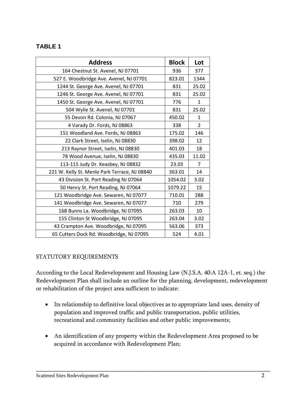#### **TABLE 1**

| <b>Address</b>                                | <b>Block</b> | Lot            |
|-----------------------------------------------|--------------|----------------|
| 164 Chestnut St. Avenel, NJ 07701             | 936          | 377            |
| 527 E. Woodbridge Ave. Avenel, NJ 07701       | 823.01       | 1344           |
| 1244 St. George Ave. Avenel, NJ 07701         | 831          | 25.02          |
| 1246 St. George Ave. Avenel, NJ 07701         | 831          | 25.02          |
| 1450 St. George Ave. Avenel, NJ 07701         | 776          | $\mathbf{1}$   |
| 504 Wylie St. Avenel, NJ 07701                | 831          | 25.02          |
| 55 Devon Rd. Colonia, NJ 07067                | 450.02       | $\mathbf{1}$   |
| 4 Varady Dr. Fords, NJ 08863                  | 338          | $\overline{2}$ |
| 151 Woodland Ave. Fords, NJ 08863             | 175.02       | 146            |
| 22 Clark Street, Iselin, NJ 08830             | 398.02       | 12             |
| 213 Raynor Street, Iselin, NJ 08830           | 401.03       | 18             |
| 78 Wood Avenue, Iselin, NJ 08830              | 435.03       | 11.02          |
| 113-115 Judy Dr. Keasbey, NJ 08832            | 23.03        | 7              |
| 221 W. Kelly St. Menlo Park Terrace, NJ 08840 | 363.01       | 14             |
| 43 Division St. Port Reading NJ 07064         | 1054.02      | 3.02           |
| 50 Henry St. Port Reading, NJ 07064           | 1079.22      | 15             |
| 121 Woodbridge Ave. Sewaren, NJ 07077         | 710.01       | 288            |
| 141 Woodbridge Ave. Sewaren, NJ 07077         | 710          | 279            |
| 168 Bunns La. Woodbridge, NJ 07095            | 263.03       | 10             |
| 155 Clinton St Woodbridge, NJ 07095           | 263.04       | 3.02           |
| 43 Crampton Ave. Woodbridge, NJ 07095         | 563.06       | 373            |
| 65 Cutters Dock Rd. Woodbridge, NJ 07095      | 524          | 4.01           |

#### STATUTORY REQUIREMENTS

According to the Local Redevelopment and Housing Law (N.J.S.A. 40:A 12A-1, et. seq.) the Redevelopment Plan shall include an outline for the planning, development, redevelopment or rehabilitation of the project area sufficient to indicate:

- Its relationship to definitive local objectives as to appropriate land uses, density of population and improved traffic and public transportation, public utilities, recreational and community facilities and other public improvements;
- An identification of any property within the Redevelopment Area proposed to be acquired in accordance with Redevelopment Plan;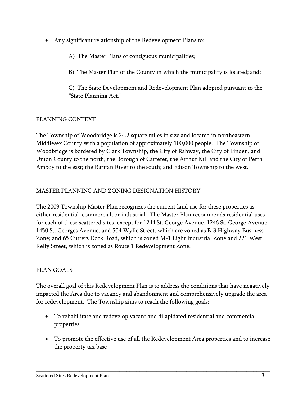- Any significant relationship of the Redevelopment Plans to:
	- A) The Master Plans of contiguous municipalities;
	- B) The Master Plan of the County in which the municipality is located; and;

C) The State Development and Redevelopment Plan adopted pursuant to the "State Planning Act."

#### PLANNING CONTEXT

The Township of Woodbridge is 24.2 square miles in size and located in northeastern Middlesex County with a population of approximately 100,000 people. The Township of Woodbridge is bordered by Clark Township, the City of Rahway, the City of Linden, and Union County to the north; the Borough of Carteret, the Arthur Kill and the City of Perth Amboy to the east; the Raritan River to the south; and Edison Township to the west.

#### MASTER PLANNING AND ZONING DESIGNATION HISTORY

The 2009 Township Master Plan recognizes the current land use for these properties as either residential, commercial, or industrial. The Master Plan recommends residential uses for each of these scattered sites, except for 1244 St. George Avenue, 1246 St. George Avenue, 1450 St. Georges Avenue, and 504 Wylie Street, which are zoned as B-3 Highway Business Zone; and 65 Cutters Dock Road, which is zoned M-1 Light Industrial Zone and 221 West Kelly Street, which is zoned as Route 1 Redevelopment Zone.

#### PLAN GOALS

The overall goal of this Redevelopment Plan is to address the conditions that have negatively impacted the Area due to vacancy and abandonment and comprehensively upgrade the area for redevelopment. The Township aims to reach the following goals:

- To rehabilitate and redevelop vacant and dilapidated residential and commercial properties
- To promote the effective use of all the Redevelopment Area properties and to increase the property tax base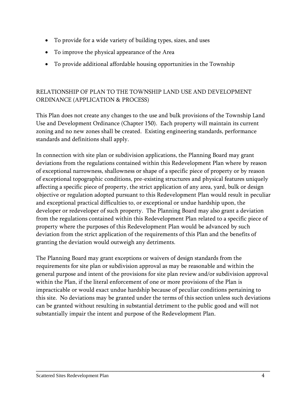- To provide for a wide variety of building types, sizes, and uses
- To improve the physical appearance of the Area
- To provide additional affordable housing opportunities in the Township

#### RELATIONSHIP OF PLAN TO THE TOWNSHIP LAND USE AND DEVELOPMENT ORDINANCE (APPLICATION & PROCESS)

This Plan does not create any changes to the use and bulk provisions of the Township Land Use and Development Ordinance (Chapter 150). Each property will maintain its current zoning and no new zones shall be created. Existing engineering standards, performance standards and definitions shall apply.

In connection with site plan or subdivision applications, the Planning Board may grant deviations from the regulations contained within this Redevelopment Plan where by reason of exceptional narrowness, shallowness or shape of a specific piece of property or by reason of exceptional topographic conditions, pre-existing structures and physical features uniquely affecting a specific piece of property, the strict application of any area, yard, bulk or design objective or regulation adopted pursuant to this Redevelopment Plan would result in peculiar and exceptional practical difficulties to, or exceptional or undue hardship upon, the developer or redeveloper of such property. The Planning Board may also grant a deviation from the regulations contained within this Redevelopment Plan related to a specific piece of property where the purposes of this Redevelopment Plan would be advanced by such deviation from the strict application of the requirements of this Plan and the benefits of granting the deviation would outweigh any detriments.

The Planning Board may grant exceptions or waivers of design standards from the requirements for site plan or subdivision approval as may be reasonable and within the general purpose and intent of the provisions for site plan review and/or subdivision approval within the Plan, if the literal enforcement of one or more provisions of the Plan is impracticable or would exact undue hardship because of peculiar conditions pertaining to this site. No deviations may be granted under the terms of this section unless such deviations can be granted without resulting in substantial detriment to the public good and will not substantially impair the intent and purpose of the Redevelopment Plan.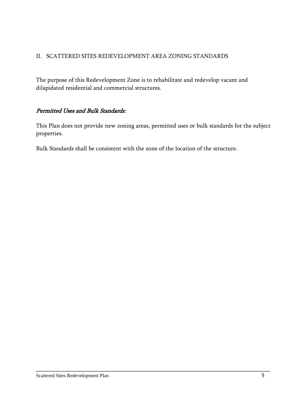#### <span id="page-7-0"></span>II. SCATTERED SITES REDEVELOPMENT AREA ZONING STANDARDS

The purpose of this Redevelopment Zone is to rehabilitate and redevelop vacant and dilapidated residential and commercial structures.

#### Permitted Uses and Bulk Standards:

This Plan does not provide new zoning areas, permitted uses or bulk standards for the subject properties.

\_\_\_\_\_\_\_\_\_\_\_\_\_\_\_\_\_\_\_\_\_\_\_\_\_\_\_\_\_\_\_\_\_\_\_\_\_\_\_\_\_\_\_\_\_\_\_\_\_\_\_\_\_\_\_\_\_\_\_\_\_\_\_\_\_\_\_\_\_\_

<span id="page-7-1"></span>Bulk Standards shall be consistent with the zone of the location of the structure.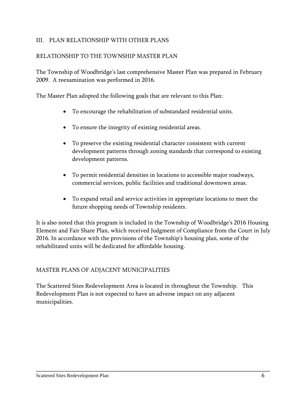#### III. PLAN RELATIONSHIP WITH OTHER PLANS

#### RELATIONSHIP TO THE TOWNSHIP MASTER PLAN

The Township of Woodbridge's last comprehensive Master Plan was prepared in February 2009. A reexamination was performed in 2016.

The Master Plan adopted the following goals that are relevant to this Plan:

- To encourage the rehabilitation of substandard residential units.
- To ensure the integrity of existing residential areas.
- To preserve the existing residential character consistent with current development patterns through zoning standards that correspond to existing development patterns.
- To permit residential densities in locations to accessible major roadways, commercial services, public facilities and traditional downtown areas.
- To expand retail and service activities in appropriate locations to meet the future shopping needs of Township residents.

It is also noted that this program is included in the Township of Woodbridge's 2016 Housing Element and Fair Share Plan, which received Judgment of Compliance from the Court in July 2016. In accordance with the provisions of the Township's housing plan, some of the rehabilitated units will be dedicated for affordable housing.

#### MASTER PLANS OF ADJACENT MUNICIPALITIES

The Scattered Sites Redevelopment Area is located in throughout the Township. This Redevelopment Plan is not expected to have an adverse impact on any adjacent municipalities.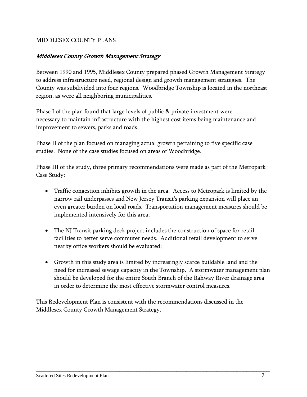#### MIDDLESEX COUNTY PLANS

#### Middlesex County Growth Management Strategy

Between 1990 and 1995, Middlesex County prepared phased Growth Management Strategy to address infrastructure need, regional design and growth management strategies. The County was subdivided into four regions. Woodbridge Township is located in the northeast region, as were all neighboring municipalities.

Phase I of the plan found that large levels of public & private investment were necessary to maintain infrastructure with the highest cost items being maintenance and improvement to sewers, parks and roads.

Phase II of the plan focused on managing actual growth pertaining to five specific case studies. None of the case studies focused on areas of Woodbridge.

Phase III of the study, three primary recommendations were made as part of the Metropark Case Study:

- Traffic congestion inhibits growth in the area. Access to Metropark is limited by the narrow rail underpasses and New Jersey Transit's parking expansion will place an even greater burden on local roads. Transportation management measures should be implemented intensively for this area;
- The NJ Transit parking deck project includes the construction of space for retail facilities to better serve commuter needs. Additional retail development to serve nearby office workers should be evaluated;
- Growth in this study area is limited by increasingly scarce buildable land and the need for increased sewage capacity in the Township. A stormwater management plan should be developed for the entire South Branch of the Rahway River drainage area in order to determine the most effective stormwater control measures.

\_\_\_\_\_\_\_\_\_\_\_\_\_\_\_\_\_\_\_\_\_\_\_\_\_\_\_\_\_\_\_\_\_\_\_\_\_\_\_\_\_\_\_\_\_\_\_\_\_\_\_\_\_\_\_\_\_\_\_\_\_\_\_\_\_\_\_\_\_\_

This Redevelopment Plan is consistent with the recommendations discussed in the Middlesex County Growth Management Strategy.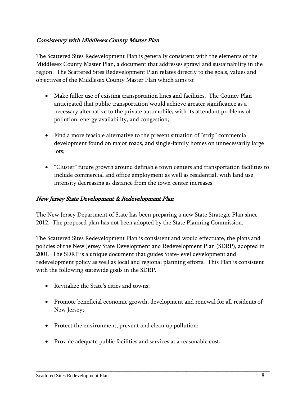#### Consistency with Middlesex County Master Plan

The Scattered Sites Redevelopment Plan is generally consistent with the elements of the Middlesex County Master Plan, a document that addresses sprawl and sustainability in the region. The Scattered Sites Redevelopment Plan relates directly to the goals, values and objectives of the Middlesex County Master Plan which aims to:

- Make fuller use of existing transportation lines and facilities. The County Plan anticipated that public transportation would achieve greater significance as a necessary alternative to the private automobile, with its attendant problems of pollution, energy availability, and congestion;
- Find a more feasible alternative to the present situation of "strip" commercial development found on major roads, and single-family homes on unnecessarily large lots;
- "Cluster" future growth around definable town centers and transportation facilities to include commercial and office employment as well as residential, with land use intensity decreasing as distance from the town center increases.

#### New Jersey State Development & Redevelopment Plan

The New Jersey Department of State has been preparing a new State Strategic Plan since 2012. The proposed plan has not been adopted by the State Planning Commission.

The Scattered Sites Redevelopment Plan is consistent and would effectuate, the plans and policies of the New Jersey State Development and Redevelopment Plan (SDRP), adopted in 2001. The SDRP is a unique document that guides State-level development and redevelopment policy as well as local and regional planning efforts. This Plan is consistent with the following statewide goals in the SDRP.

- Revitalize the State's cities and towns;
- Promote beneficial economic growth, development and renewal for all residents of New Jersey;

- Protect the environment, prevent and clean up pollution;
- Provide adequate public facilities and services at a reasonable cost;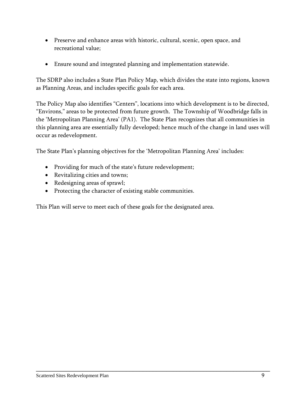- Preserve and enhance areas with historic, cultural, scenic, open space, and recreational value;
- Ensure sound and integrated planning and implementation statewide.

The SDRP also includes a State Plan Policy Map, which divides the state into regions, known as Planning Areas, and includes specific goals for each area.

The Policy Map also identifies "Centers", locations into which development is to be directed, "Environs," areas to be protected from future growth. The Township of Woodbridge falls in the 'Metropolitan Planning Area' (PA1). The State Plan recognizes that all communities in this planning area are essentially fully developed; hence much of the change in land uses will occur as redevelopment.

\_\_\_\_\_\_\_\_\_\_\_\_\_\_\_\_\_\_\_\_\_\_\_\_\_\_\_\_\_\_\_\_\_\_\_\_\_\_\_\_\_\_\_\_\_\_\_\_\_\_\_\_\_\_\_\_\_\_\_\_\_\_\_\_\_\_\_\_\_\_

The State Plan's planning objectives for the 'Metropolitan Planning Area' includes:

- Providing for much of the state's future redevelopment;
- Revitalizing cities and towns;
- Redesigning areas of sprawl;
- Protecting the character of existing stable communities.

This Plan will serve to meet each of these goals for the designated area.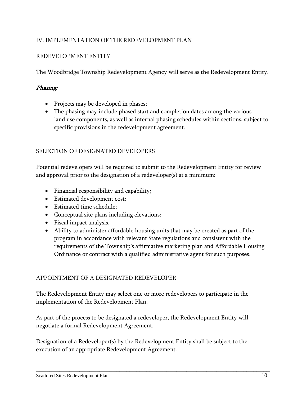#### <span id="page-12-0"></span>IV. IMPLEMENTATION OF THE REDEVELOPMENT PLAN

#### REDEVELOPMENT ENTITY

The Woodbridge Township Redevelopment Agency will serve as the Redevelopment Entity.

#### Phasing:

- Projects may be developed in phases;
- The phasing may include phased start and completion dates among the various land use components, as well as internal phasing schedules within sections, subject to specific provisions in the redevelopment agreement.

#### SELECTION OF DESIGNATED DEVELOPERS

Potential redevelopers will be required to submit to the Redevelopment Entity for review and approval prior to the designation of a redeveloper(s) at a minimum:

- Financial responsibility and capability;
- Estimated development cost;
- Estimated time schedule;
- Conceptual site plans including elevations;
- Fiscal impact analysis.
- Ability to administer affordable housing units that may be created as part of the program in accordance with relevant State regulations and consistent with the requirements of the Township's affirmative marketing plan and Affordable Housing Ordinance or contract with a qualified administrative agent for such purposes.

#### APPOINTMENT OF A DESIGNATED REDEVELOPER

The Redevelopment Entity may select one or more redevelopers to participate in the implementation of the Redevelopment Plan.

As part of the process to be designated a redeveloper, the Redevelopment Entity will negotiate a formal Redevelopment Agreement.

Designation of a Redeveloper(s) by the Redevelopment Entity shall be subject to the execution of an appropriate Redevelopment Agreement.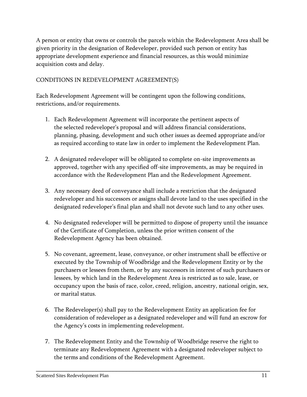A person or entity that owns or controls the parcels within the Redevelopment Area shall be given priority in the designation of Redeveloper, provided such person or entity has appropriate development experience and financial resources, as this would minimize acquisition costs and delay.

#### CONDITIONS IN REDEVELOPMENT AGREEMENT(S)

Each Redevelopment Agreement will be contingent upon the following conditions, restrictions, and/or requirements.

- 1. Each Redevelopment Agreement will incorporate the pertinent aspects of the selected redeveloper's proposal and will address financial considerations, planning, phasing, development and such other issues as deemed appropriate and/or as required according to state law in order to implement the Redevelopment Plan.
- 2. A designated redeveloper will be obligated to complete on-site improvements as approved, together with any specified off-site improvements, as may be required in accordance with the Redevelopment Plan and the Redevelopment Agreement.
- 3. Any necessary deed of conveyance shall include a restriction that the designated redeveloper and his successors or assigns shall devote land to the uses specified in the designated redeveloper's final plan and shall not devote such land to any other uses.
- 4. No designated redeveloper will be permitted to dispose of property until the issuance of the Certificate of Completion, unless the prior written consent of the Redevelopment Agency has been obtained.
- 5. No covenant, agreement, lease, conveyance, or other instrument shall be effective or executed by the Township of Woodbridge and the Redevelopment Entity or by the purchasers or lessees from them, or by any successors in interest of such purchasers or lessees, by which land in the Redevelopment Area is restricted as to sale, lease, or occupancy upon the basis of race, color, creed, religion, ancestry, national origin, sex, or marital status.
- 6. The Redeveloper(s) shall pay to the Redevelopment Entity an application fee for consideration of redeveloper as a designated redeveloper and will fund an escrow for the Agency's costs in implementing redevelopment.
- 7. The Redevelopment Entity and the Township of Woodbridge reserve the right to terminate any Redevelopment Agreement with a designated redeveloper subject to the terms and conditions of the Redevelopment Agreement.